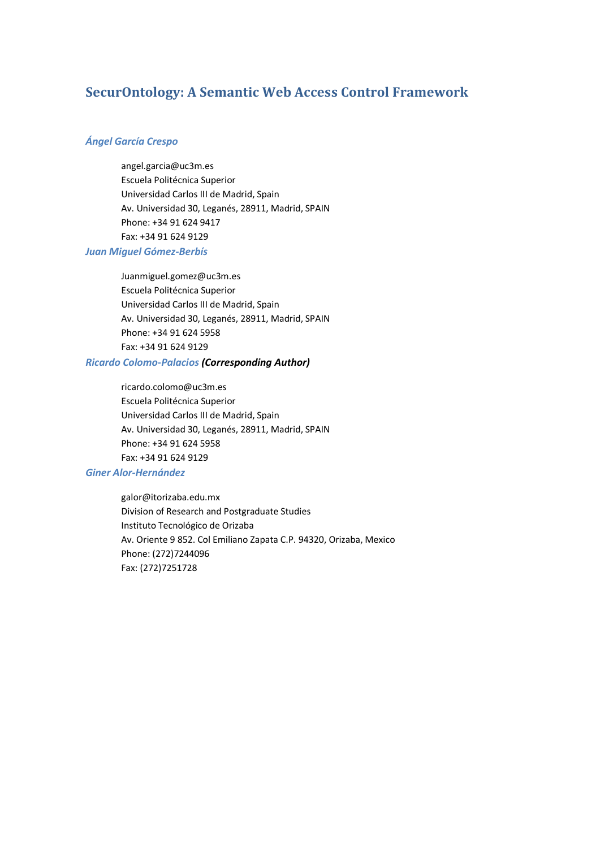### **SecurOntology: A Semantic Web Access Control Framework**

#### *Ángel García Crespo*

angel.garcia@uc3m.es Escuela Politécnica Superior Universidad Carlos III de Madrid, Spain Av. Universidad 30, Leganés, 28911, Madrid, SPAIN Phone: +34 91 624 9417 Fax: +34 91 624 9129

#### *Juan Miguel Gómez-Berbís*

Juanmiguel.gomez@uc3m.es Escuela Politécnica Superior Universidad Carlos III de Madrid, Spain Av. Universidad 30, Leganés, 28911, Madrid, SPAIN Phone: +34 91 624 5958 Fax: +34 91 624 9129

#### *Ricardo Colomo-Palacios (Corresponding Author)*

ricardo.colomo@uc3m.es Escuela Politécnica Superior Universidad Carlos III de Madrid, Spain Av. Universidad 30, Leganés, 28911, Madrid, SPAIN Phone: +34 91 624 5958 Fax: +34 91 624 9129

#### *Giner Alor-Hernández*

galor@itorizaba.edu.mx Division of Research and Postgraduate Studies Instituto Tecnológico de Orizaba Av. Oriente 9 852. Col Emiliano Zapata C.P. 94320, Orizaba, Mexico Phone: (272)7244096 Fax: (272)7251728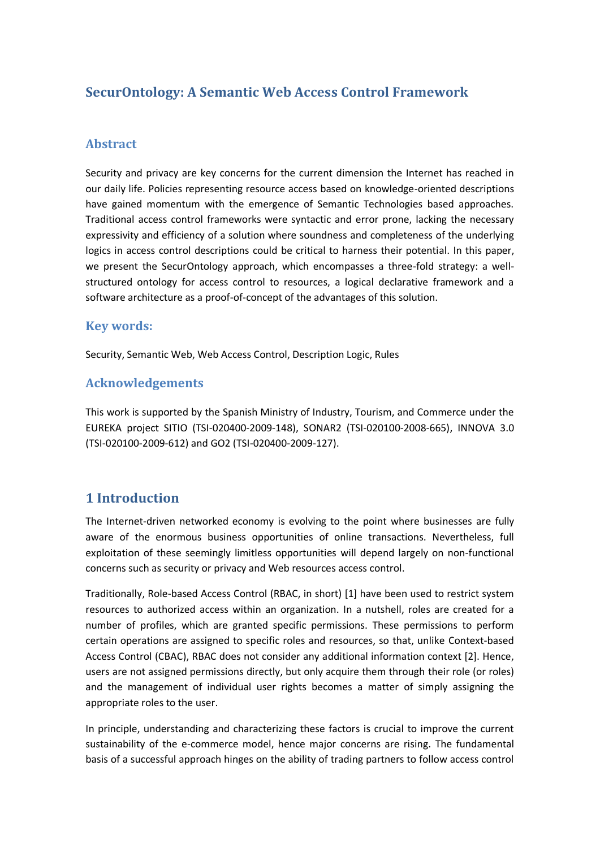# **SecurOntology: A Semantic Web Access Control Framework**

### **Abstract**

Security and privacy are key concerns for the current dimension the Internet has reached in our daily life. Policies representing resource access based on knowledge-oriented descriptions have gained momentum with the emergence of Semantic Technologies based approaches. Traditional access control frameworks were syntactic and error prone, lacking the necessary expressivity and efficiency of a solution where soundness and completeness of the underlying logics in access control descriptions could be critical to harness their potential. In this paper, we present the SecurOntology approach, which encompasses a three-fold strategy: a wellstructured ontology for access control to resources, a logical declarative framework and a software architecture as a proof-of-concept of the advantages of this solution.

### **Key words:**

Security, Semantic Web, Web Access Control, Description Logic, Rules

#### **Acknowledgements**

This work is supported by the Spanish Ministry of Industry, Tourism, and Commerce under the EUREKA project SITIO (TSI-020400-2009-148), SONAR2 (TSI-020100-2008-665), INNOVA 3.0 (TSI-020100-2009-612) and GO2 (TSI-020400-2009-127).

## **1 Introduction**

The Internet-driven networked economy is evolving to the point where businesses are fully aware of the enormous business opportunities of online transactions. Nevertheless, full exploitation of these seemingly limitless opportunities will depend largely on non-functional concerns such as security or privacy and Web resources access control.

Traditionally, Role-based Access Control (RBAC, in short) [1] have been used to restrict system resources to authorized access within an organization. In a nutshell, roles are created for a number of profiles, which are granted specific permissions. These permissions to perform certain operations are assigned to specific roles and resources, so that, unlike Context-based Access Control (CBAC), RBAC does not consider any additional information context [2]. Hence, users are not assigned permissions directly, but only acquire them through their role (or roles) and the management of individual user rights becomes a matter of simply assigning the appropriate roles to the user.

In principle, understanding and characterizing these factors is crucial to improve the current sustainability of the e-commerce model, hence major concerns are rising. The fundamental basis of a successful approach hinges on the ability of trading partners to follow access control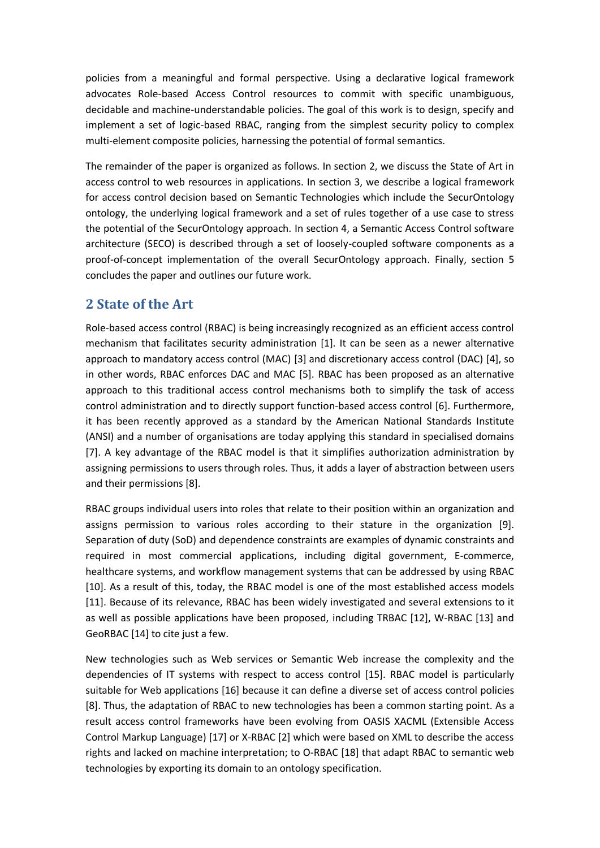policies from a meaningful and formal perspective. Using a declarative logical framework advocates Role-based Access Control resources to commit with specific unambiguous, decidable and machine-understandable policies. The goal of this work is to design, specify and implement a set of logic-based RBAC, ranging from the simplest security policy to complex multi-element composite policies, harnessing the potential of formal semantics.

The remainder of the paper is organized as follows. In section 2, we discuss the State of Art in access control to web resources in applications. In section 3, we describe a logical framework for access control decision based on Semantic Technologies which include the SecurOntology ontology, the underlying logical framework and a set of rules together of a use case to stress the potential of the SecurOntology approach. In section 4, a Semantic Access Control software architecture (SECO) is described through a set of loosely-coupled software components as a proof-of-concept implementation of the overall SecurOntology approach. Finally, section 5 concludes the paper and outlines our future work.

# **2 State of the Art**

Role-based access control (RBAC) is being increasingly recognized as an efficient access control mechanism that facilitates security administration [1]. It can be seen as a newer alternative approach to mandatory access control (MAC) [3] and discretionary access control (DAC) [4], so in other words, RBAC enforces DAC and MAC [5]. RBAC has been proposed as an alternative approach to this traditional access control mechanisms both to simplify the task of access control administration and to directly support function-based access control [6]. Furthermore, it has been recently approved as a standard by the American National Standards Institute (ANSI) and a number of organisations are today applying this standard in specialised domains [7]. A key advantage of the RBAC model is that it simplifies authorization administration by assigning permissions to users through roles. Thus, it adds a layer of abstraction between users and their permissions [8].

RBAC groups individual users into roles that relate to their position within an organization and assigns permission to various roles according to their stature in the organization [9]. Separation of duty (SoD) and dependence constraints are examples of dynamic constraints and required in most commercial applications, including digital government, E-commerce, healthcare systems, and workflow management systems that can be addressed by using RBAC [10]. As a result of this, today, the RBAC model is one of the most established access models [11]. Because of its relevance, RBAC has been widely investigated and several extensions to it as well as possible applications have been proposed, including TRBAC [12], W-RBAC [13] and GeoRBAC [14] to cite just a few.

New technologies such as Web services or Semantic Web increase the complexity and the dependencies of IT systems with respect to access control [15]. RBAC model is particularly suitable for Web applications [16] because it can define a diverse set of access control policies [8]. Thus, the adaptation of RBAC to new technologies has been a common starting point. As a result access control frameworks have been evolving from OASIS XACML (Extensible Access Control Markup Language) [17] or X-RBAC [2] which were based on XML to describe the access rights and lacked on machine interpretation; to O-RBAC [18] that adapt RBAC to semantic web technologies by exporting its domain to an ontology specification.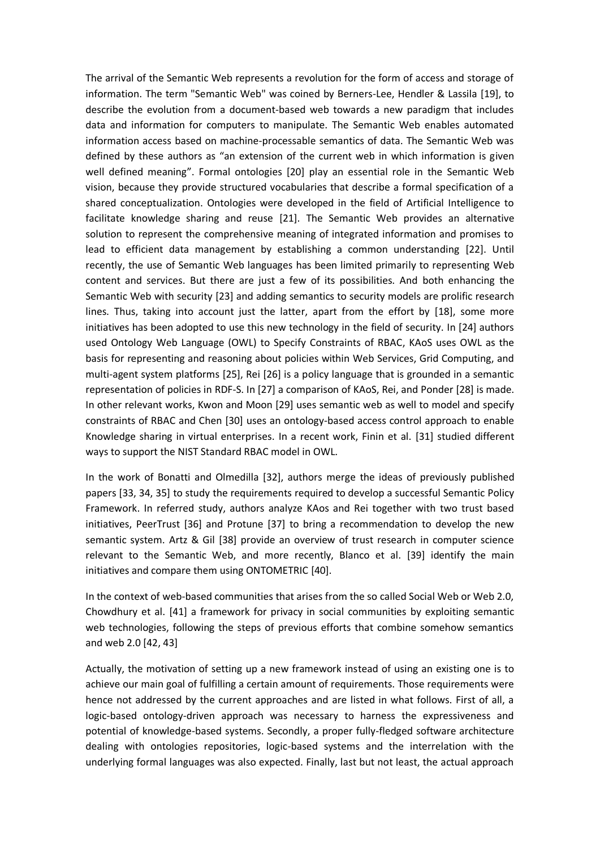The arrival of the Semantic Web represents a revolution for the form of access and storage of information. The term "Semantic Web" was coined by Berners-Lee, Hendler & Lassila [19], to describe the evolution from a document-based web towards a new paradigm that includes data and information for computers to manipulate. The Semantic Web enables automated information access based on machine-processable semantics of data. The Semantic Web was defined by these authors as "an extension of the current web in which information is given well defined meaning". Formal ontologies [20] play an essential role in the Semantic Web vision, because they provide structured vocabularies that describe a formal specification of a shared conceptualization. Ontologies were developed in the field of Artificial Intelligence to facilitate knowledge sharing and reuse [21]. The Semantic Web provides an alternative solution to represent the comprehensive meaning of integrated information and promises to lead to efficient data management by establishing a common understanding [22]. Until recently, the use of Semantic Web languages has been limited primarily to representing Web content and services. But there are just a few of its possibilities. And both enhancing the Semantic Web with security [23] and adding semantics to security models are prolific research lines. Thus, taking into account just the latter, apart from the effort by [18], some more initiatives has been adopted to use this new technology in the field of security. In [24] authors used Ontology Web Language (OWL) to Specify Constraints of RBAC, KAoS uses OWL as the basis for representing and reasoning about policies within Web Services, Grid Computing, and multi-agent system platforms [25], Rei [26] is a policy language that is grounded in a semantic representation of policies in RDF-S. In [27] a comparison of KAoS, Rei, and Ponder [28] is made. In other relevant works, Kwon and Moon [29] uses semantic web as well to model and specify constraints of RBAC and Chen [30] uses an ontology-based access control approach to enable Knowledge sharing in virtual enterprises. In a recent work, Finin et al. [31] studied different ways to support the NIST Standard RBAC model in OWL.

In the work of Bonatti and Olmedilla [32], authors merge the ideas of previously published papers [33, 34, 35] to study the requirements required to develop a successful Semantic Policy Framework. In referred study, authors analyze KAos and Rei together with two trust based initiatives, PeerTrust [36] and Protune [37] to bring a recommendation to develop the new semantic system. Artz & Gil [38] provide an overview of trust research in computer science relevant to the Semantic Web, and more recently, Blanco et al. [39] identify the main initiatives and compare them using ONTOMETRIC [40].

In the context of web-based communities that arises from the so called Social Web or Web 2.0, Chowdhury et al. [41] a framework for privacy in social communities by exploiting semantic web technologies, following the steps of previous efforts that combine somehow semantics and web 2.0 [42, 43]

Actually, the motivation of setting up a new framework instead of using an existing one is to achieve our main goal of fulfilling a certain amount of requirements. Those requirements were hence not addressed by the current approaches and are listed in what follows. First of all, a logic-based ontology-driven approach was necessary to harness the expressiveness and potential of knowledge-based systems. Secondly, a proper fully-fledged software architecture dealing with ontologies repositories, logic-based systems and the interrelation with the underlying formal languages was also expected. Finally, last but not least, the actual approach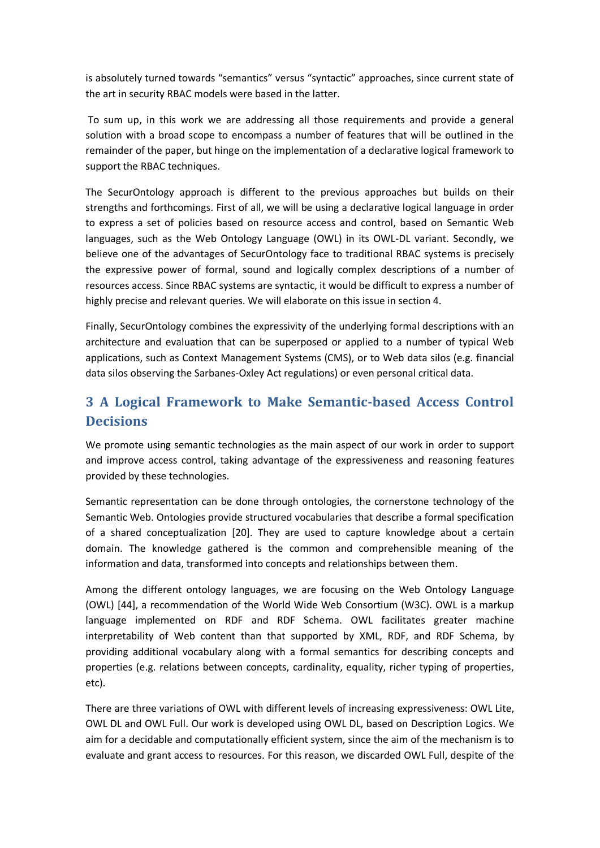is absolutely turned towards "semantics" versus "syntactic" approaches, since current state of the art in security RBAC models were based in the latter.

To sum up, in this work we are addressing all those requirements and provide a general solution with a broad scope to encompass a number of features that will be outlined in the remainder of the paper, but hinge on the implementation of a declarative logical framework to support the RBAC techniques.

The SecurOntology approach is different to the previous approaches but builds on their strengths and forthcomings. First of all, we will be using a declarative logical language in order to express a set of policies based on resource access and control, based on Semantic Web languages, such as the Web Ontology Language (OWL) in its OWL-DL variant. Secondly, we believe one of the advantages of SecurOntology face to traditional RBAC systems is precisely the expressive power of formal, sound and logically complex descriptions of a number of resources access. Since RBAC systems are syntactic, it would be difficult to express a number of highly precise and relevant queries. We will elaborate on this issue in section 4.

Finally, SecurOntology combines the expressivity of the underlying formal descriptions with an architecture and evaluation that can be superposed or applied to a number of typical Web applications, such as Context Management Systems (CMS), or to Web data silos (e.g. financial data silos observing the Sarbanes-Oxley Act regulations) or even personal critical data.

# **3 A Logical Framework to Make Semantic-based Access Control Decisions**

We promote using semantic technologies as the main aspect of our work in order to support and improve access control, taking advantage of the expressiveness and reasoning features provided by these technologies.

Semantic representation can be done through ontologies, the cornerstone technology of the Semantic Web. Ontologies provide structured vocabularies that describe a formal specification of a shared conceptualization [20]. They are used to capture knowledge about a certain domain. The knowledge gathered is the common and comprehensible meaning of the information and data, transformed into concepts and relationships between them.

Among the different ontology languages, we are focusing on the Web Ontology Language (OWL) [44], a recommendation of the World Wide Web Consortium (W3C). OWL is a markup language implemented on RDF and RDF Schema. OWL facilitates greater machine interpretability of Web content than that supported by XML, RDF, and RDF Schema, by providing additional vocabulary along with a formal semantics for describing concepts and properties (e.g. relations between concepts, cardinality, equality, richer typing of properties, etc).

There are three variations of OWL with different levels of increasing expressiveness: OWL Lite, OWL DL and OWL Full. Our work is developed using OWL DL, based on Description Logics. We aim for a decidable and computationally efficient system, since the aim of the mechanism is to evaluate and grant access to resources. For this reason, we discarded OWL Full, despite of the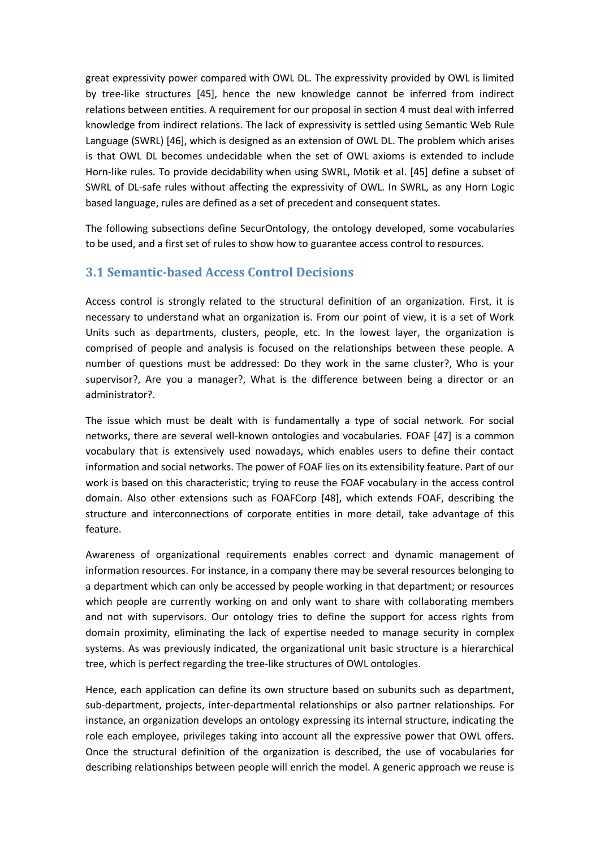great expressivity power compared with OWL DL. The expressivity provided by OWL is limited by tree-like structures [45], hence the new knowledge cannot be inferred from indirect relations between entities. A requirement for our proposal in section 4 must deal with inferred knowledge from indirect relations. The lack of expressivity is settled using Semantic Web Rule Language (SWRL) [46], which is designed as an extension of OWL DL. The problem which arises is that OWL DL becomes undecidable when the set of OWL axioms is extended to include Horn-like rules. To provide decidability when using SWRL, Motik et al. [45] define a subset of SWRL of DL-safe rules without affecting the expressivity of OWL. In SWRL, as any Horn Logic based language, rules are defined as a set of precedent and consequent states.

The following subsections define SecurOntology, the ontology developed, some vocabularies to be used, and a first set of rules to show how to guarantee access control to resources.

### **3.1 Semantic-based Access Control Decisions**

Access control is strongly related to the structural definition of an organization. First, it is necessary to understand what an organization is. From our point of view, it is a set of Work Units such as departments, clusters, people, etc. In the lowest layer, the organization is comprised of people and analysis is focused on the relationships between these people. A number of questions must be addressed: Do they work in the same cluster?, Who is your supervisor?, Are you a manager?, What is the difference between being a director or an administrator?.

The issue which must be dealt with is fundamentally a type of social network. For social networks, there are several well-known ontologies and vocabularies. FOAF [47] is a common vocabulary that is extensively used nowadays, which enables users to define their contact information and social networks. The power of FOAF lies on its extensibility feature. Part of our work is based on this characteristic; trying to reuse the FOAF vocabulary in the access control domain. Also other extensions such as FOAFCorp [48], which extends FOAF, describing the structure and interconnections of corporate entities in more detail, take advantage of this feature.

Awareness of organizational requirements enables correct and dynamic management of information resources. For instance, in a company there may be several resources belonging to a department which can only be accessed by people working in that department; or resources which people are currently working on and only want to share with collaborating members and not with supervisors. Our ontology tries to define the support for access rights from domain proximity, eliminating the lack of expertise needed to manage security in complex systems. As was previously indicated, the organizational unit basic structure is a hierarchical tree, which is perfect regarding the tree-like structures of OWL ontologies.

Hence, each application can define its own structure based on subunits such as department, sub-department, projects, inter-departmental relationships or also partner relationships. For instance, an organization develops an ontology expressing its internal structure, indicating the role each employee, privileges taking into account all the expressive power that OWL offers. Once the structural definition of the organization is described, the use of vocabularies for describing relationships between people will enrich the model. A generic approach we reuse is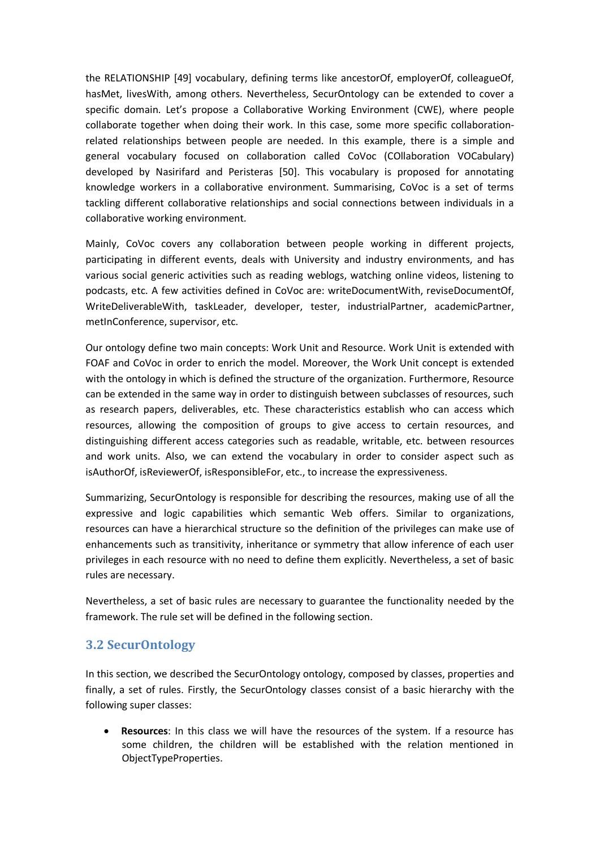the RELATIONSHIP [49] vocabulary, defining terms like ancestorOf, employerOf, colleagueOf, hasMet, livesWith, among others. Nevertheless, SecurOntology can be extended to cover a specific domain. Let's propose a Collaborative Working Environment (CWE), where people collaborate together when doing their work. In this case, some more specific collaborationrelated relationships between people are needed. In this example, there is a simple and general vocabulary focused on collaboration called CoVoc (COllaboration VOCabulary) developed by Nasirifard and Peristeras [50]. This vocabulary is proposed for annotating knowledge workers in a collaborative environment. Summarising, CoVoc is a set of terms tackling different collaborative relationships and social connections between individuals in a collaborative working environment.

Mainly, CoVoc covers any collaboration between people working in different projects, participating in different events, deals with University and industry environments, and has various social generic activities such as reading weblogs, watching online videos, listening to podcasts, etc. A few activities defined in CoVoc are: writeDocumentWith, reviseDocumentOf, WriteDeliverableWith, taskLeader, developer, tester, industrialPartner, academicPartner, metInConference, supervisor, etc.

Our ontology define two main concepts: Work Unit and Resource. Work Unit is extended with FOAF and CoVoc in order to enrich the model. Moreover, the Work Unit concept is extended with the ontology in which is defined the structure of the organization. Furthermore, Resource can be extended in the same way in order to distinguish between subclasses of resources, such as research papers, deliverables, etc. These characteristics establish who can access which resources, allowing the composition of groups to give access to certain resources, and distinguishing different access categories such as readable, writable, etc. between resources and work units. Also, we can extend the vocabulary in order to consider aspect such as isAuthorOf, isReviewerOf, isResponsibleFor, etc., to increase the expressiveness.

Summarizing, SecurOntology is responsible for describing the resources, making use of all the expressive and logic capabilities which semantic Web offers. Similar to organizations, resources can have a hierarchical structure so the definition of the privileges can make use of enhancements such as transitivity, inheritance or symmetry that allow inference of each user privileges in each resource with no need to define them explicitly. Nevertheless, a set of basic rules are necessary.

Nevertheless, a set of basic rules are necessary to guarantee the functionality needed by the framework. The rule set will be defined in the following section.

### **3.2 SecurOntology**

In this section, we described the SecurOntology ontology, composed by classes, properties and finally, a set of rules. Firstly, the SecurOntology classes consist of a basic hierarchy with the following super classes:

 **Resources**: In this class we will have the resources of the system. If a resource has some children, the children will be established with the relation mentioned in ObjectTypeProperties.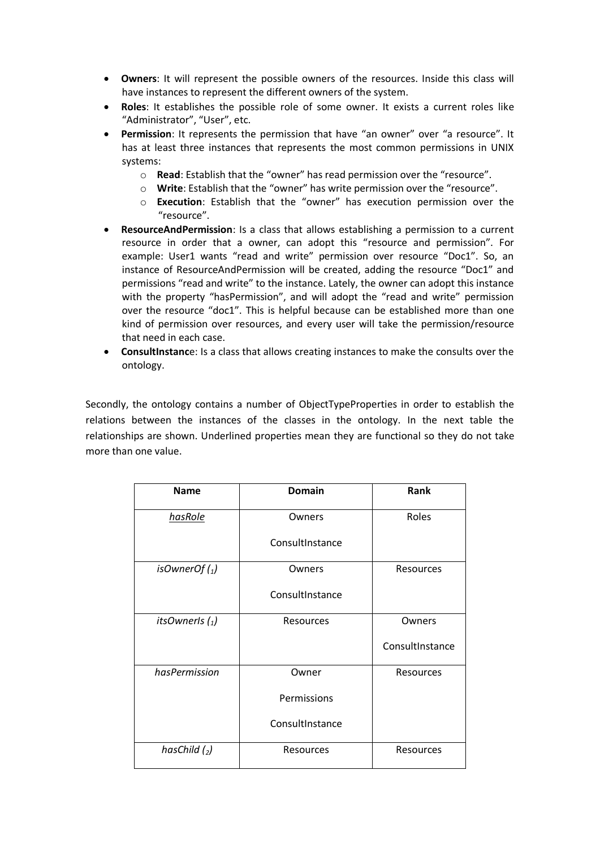- **Owners**: It will represent the possible owners of the resources. Inside this class will have instances to represent the different owners of the system.
- **Roles**: It establishes the possible role of some owner. It exists a current roles like "Administrator", "User", etc.
- **Permission**: It represents the permission that have "an owner" over "a resource". It has at least three instances that represents the most common permissions in UNIX systems:
	- o **Read**: Establish that the "owner" has read permission over the "resource".
	- o **Write**: Establish that the "owner" has write permission over the "resource".
	- o **Execution**: Establish that the "owner" has execution permission over the "resource".
- **ResourceAndPermission**: Is a class that allows establishing a permission to a current resource in order that a owner, can adopt this "resource and permission". For example: User1 wants "read and write" permission over resource "Doc1". So, an instance of ResourceAndPermission will be created, adding the resource "Doc1" and permissions "read and write" to the instance. Lately, the owner can adopt this instance with the property "hasPermission", and will adopt the "read and write" permission over the resource "doc1". This is helpful because can be established more than one kind of permission over resources, and every user will take the permission/resource that need in each case.
- **ConsultInstanc**e: Is a class that allows creating instances to make the consults over the ontology.

Secondly, the ontology contains a number of ObjectTypeProperties in order to establish the relations between the instances of the classes in the ontology. In the next table the relationships are shown. Underlined properties mean they are functional so they do not take more than one value.

| <b>Name</b>       | <b>Domain</b>   | Rank             |
|-------------------|-----------------|------------------|
| hasRole           | Owners          | Roles            |
|                   | ConsultInstance |                  |
| isOwnerOf $(_1)$  | Owners          | Resources        |
|                   | ConsultInstance |                  |
| itsOwnerIs $(_1)$ | Resources       | Owners           |
|                   |                 | ConsultInstance  |
| hasPermission     | Owner           | <b>Resources</b> |
|                   | Permissions     |                  |
|                   | ConsultInstance |                  |
| hasChild $(2)$    | Resources       | Resources        |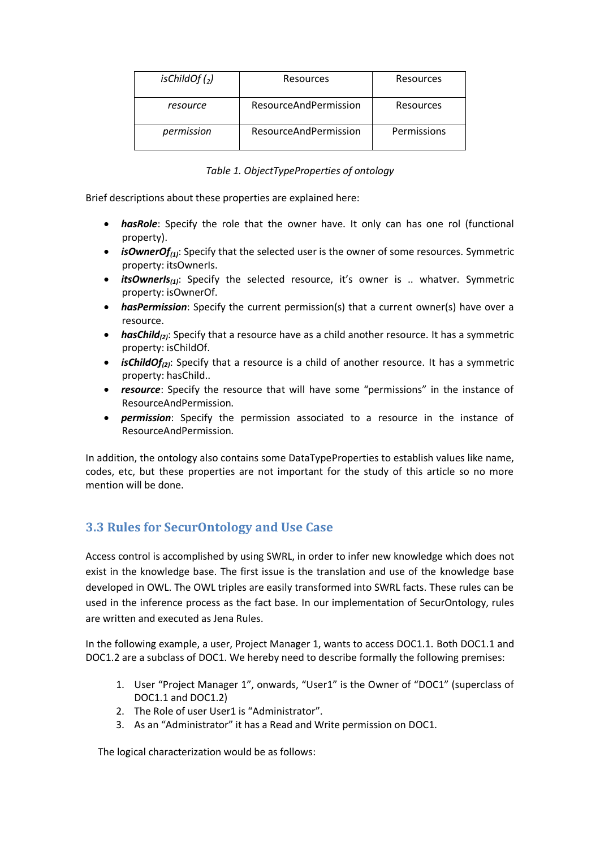| isChildOf $\binom{1}{2}$ | Resources                    | Resources   |
|--------------------------|------------------------------|-------------|
| resource                 | <b>ResourceAndPermission</b> | Resources   |
| permission               | <b>ResourceAndPermission</b> | Permissions |

#### *Table 1. ObjectTypeProperties of ontology*

Brief descriptions about these properties are explained here:

- *hasRole*: Specify the role that the owner have. It only can has one rol (functional property).
- *isOwnerOf(1)*: Specify that the selected user is the owner of some resources. Symmetric property: itsOwnerIs.
- *itsOwnerIs<sub>(1)</sub>*: Specify the selected resource, it's owner is .. whatver. Symmetric property: isOwnerOf.
- *hasPermission*: Specify the current permission(s) that a current owner(s) have over a resource.
- **hasChild**<sub>(2)</sub>: Specify that a resource have as a child another resource. It has a symmetric property: isChildOf.
- *isChildOf<sub>(2)</sub>*: Specify that a resource is a child of another resource. It has a symmetric property: hasChild..
- *resource*: Specify the resource that will have some "permissions" in the instance of ResourceAndPermission.
- *permission*: Specify the permission associated to a resource in the instance of ResourceAndPermission.

In addition, the ontology also contains some DataTypeProperties to establish values like name, codes, etc, but these properties are not important for the study of this article so no more mention will be done.

# **3.3 Rules for SecurOntology and Use Case**

Access control is accomplished by using SWRL, in order to infer new knowledge which does not exist in the knowledge base. The first issue is the translation and use of the knowledge base developed in OWL. The OWL triples are easily transformed into SWRL facts. These rules can be used in the inference process as the fact base. In our implementation of SecurOntology, rules are written and executed as Jena Rules.

In the following example, a user, Project Manager 1, wants to access DOC1.1. Both DOC1.1 and DOC1.2 are a subclass of DOC1. We hereby need to describe formally the following premises:

- 1. User "Project Manager 1", onwards, "User1" is the Owner of "DOC1" (superclass of DOC1.1 and DOC1.2)
- 2. The Role of user User1 is "Administrator".
- 3. As an "Administrator" it has a Read and Write permission on DOC1.

The logical characterization would be as follows: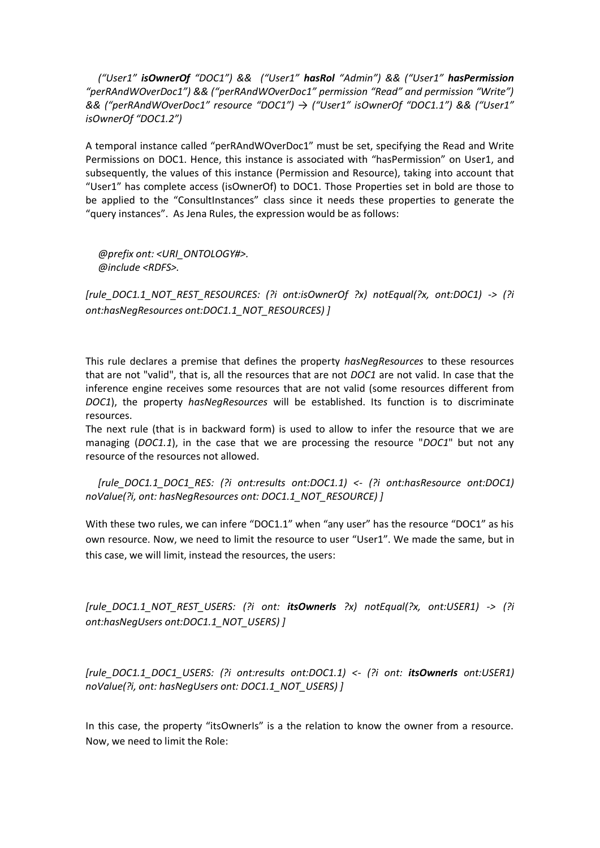*("User1" isOwnerOf "DOC1") && ("User1" hasRol "Admin") && ("User1" hasPermission "perRAndWOverDoc1") && ("perRAndWOverDoc1" permission "Read" and permission "Write") && ("perRAndWOverDoc1" resource "DOC1") → ("User1" isOwnerOf "DOC1.1") && ("User1" isOwnerOf "DOC1.2")*

A temporal instance called "perRAndWOverDoc1" must be set, specifying the Read and Write Permissions on DOC1. Hence, this instance is associated with "hasPermission" on User1, and subsequently, the values of this instance (Permission and Resource), taking into account that "User1" has complete access (isOwnerOf) to DOC1. Those Properties set in bold are those to be applied to the "ConsultInstances" class since it needs these properties to generate the "query instances". As Jena Rules, the expression would be as follows:

*@prefix ont: <URI\_ONTOLOGY#>. @include <RDFS>.*

*[rule\_DOC1.1\_NOT\_REST\_RESOURCES: (?i ont:isOwnerOf ?x) notEqual(?x, ont:DOC1) -> (?i ont:hasNegResources ont:DOC1.1\_NOT\_RESOURCES) ]*

This rule declares a premise that defines the property *hasNegResources* to these resources that are not "valid", that is, all the resources that are not *DOC1* are not valid. In case that the inference engine receives some resources that are not valid (some resources different from *DOC1*), the property *hasNegResources* will be established. Its function is to discriminate resources.

The next rule (that is in backward form) is used to allow to infer the resource that we are managing (*DOC1.1*), in the case that we are processing the resource "*DOC1*" but not any resource of the resources not allowed.

*[rule\_DOC1.1\_DOC1\_RES: (?i ont:results ont:DOC1.1) <- (?i ont:hasResource ont:DOC1) noValue(?i, ont: hasNegResources ont: DOC1.1\_NOT\_RESOURCE) ]*

With these two rules, we can infere "DOC1.1" when "any user" has the resource "DOC1" as his own resource. Now, we need to limit the resource to user "User1". We made the same, but in this case, we will limit, instead the resources, the users:

*[rule\_DOC1.1\_NOT\_REST\_USERS: (?i ont: itsOwnerIs ?x) notEqual(?x, ont:USER1) -> (?i ont:hasNegUsers ont:DOC1.1\_NOT\_USERS) ]*

*[rule\_DOC1.1\_DOC1\_USERS: (?i ont:results ont:DOC1.1) <- (?i ont: itsOwnerIs ont:USER1) noValue(?i, ont: hasNegUsers ont: DOC1.1\_NOT\_USERS) ]*

In this case, the property "itsOwnerIs" is a the relation to know the owner from a resource. Now, we need to limit the Role: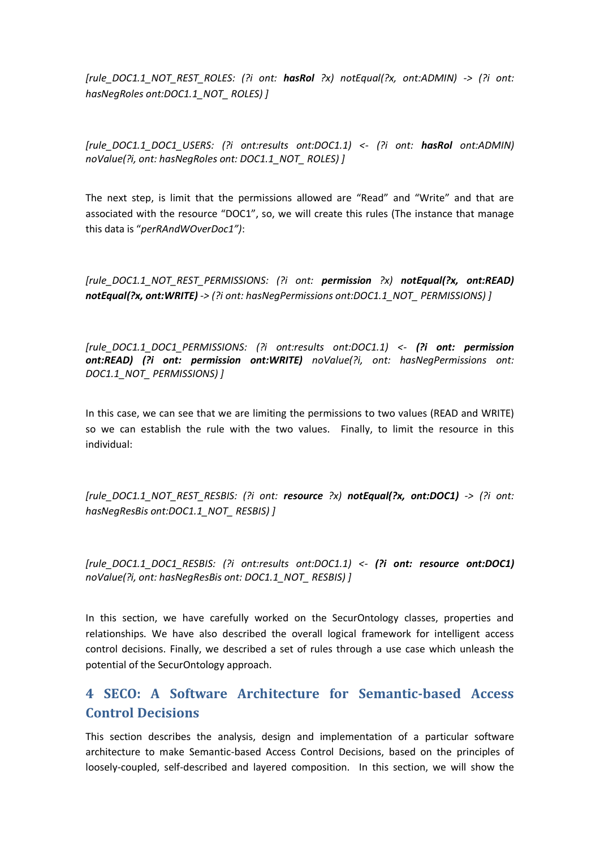*[rule\_DOC1.1\_NOT\_REST\_ROLES: (?i ont: hasRol ?x) notEqual(?x, ont:ADMIN) -> (?i ont: hasNegRoles ont:DOC1.1\_NOT\_ ROLES) ]*

*[rule\_DOC1.1\_DOC1\_USERS: (?i ont:results ont:DOC1.1) <- (?i ont: hasRol ont:ADMIN) noValue(?i, ont: hasNegRoles ont: DOC1.1\_NOT\_ ROLES) ]*

The next step, is limit that the permissions allowed are "Read" and "Write" and that are associated with the resource "DOC1", so, we will create this rules (The instance that manage this data is "*perRAndWOverDoc1")*:

*[rule\_DOC1.1\_NOT\_REST\_PERMISSIONS: (?i ont: permission ?x) notEqual(?x, ont:READ) notEqual(?x, ont:WRITE) -> (?i ont: hasNegPermissions ont:DOC1.1\_NOT\_ PERMISSIONS) ]*

*[rule\_DOC1.1\_DOC1\_PERMISSIONS: (?i ont:results ont:DOC1.1) <- (?i ont: permission ont:READ) (?i ont: permission ont:WRITE) noValue(?i, ont: hasNegPermissions ont: DOC1.1\_NOT\_ PERMISSIONS) ]*

In this case, we can see that we are limiting the permissions to two values (READ and WRITE) so we can establish the rule with the two values. Finally, to limit the resource in this individual:

*[rule\_DOC1.1\_NOT\_REST\_RESBIS: (?i ont: resource ?x) notEqual(?x, ont:DOC1) -> (?i ont: hasNegResBis ont:DOC1.1\_NOT\_ RESBIS) ]*

*[rule\_DOC1.1\_DOC1\_RESBIS: (?i ont:results ont:DOC1.1) <- (?i ont: resource ont:DOC1) noValue(?i, ont: hasNegResBis ont: DOC1.1\_NOT\_ RESBIS) ]*

In this section, we have carefully worked on the SecurOntology classes, properties and relationships. We have also described the overall logical framework for intelligent access control decisions. Finally, we described a set of rules through a use case which unleash the potential of the SecurOntology approach.

# **4 SECO: A Software Architecture for Semantic-based Access Control Decisions**

This section describes the analysis, design and implementation of a particular software architecture to make Semantic-based Access Control Decisions, based on the principles of loosely-coupled, self-described and layered composition. In this section, we will show the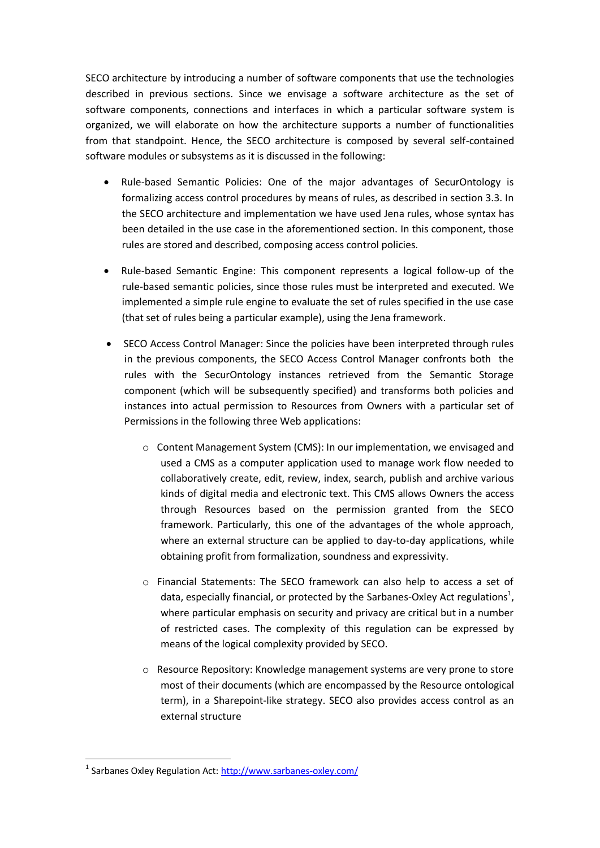SECO architecture by introducing a number of software components that use the technologies described in previous sections. Since we envisage a software architecture as the set of software components, connections and interfaces in which a particular software system is organized, we will elaborate on how the architecture supports a number of functionalities from that standpoint. Hence, the SECO architecture is composed by several self-contained software modules or subsystems as it is discussed in the following:

- Rule-based Semantic Policies: One of the major advantages of SecurOntology is formalizing access control procedures by means of rules, as described in section 3.3. In the SECO architecture and implementation we have used Jena rules, whose syntax has been detailed in the use case in the aforementioned section. In this component, those rules are stored and described, composing access control policies.
- Rule-based Semantic Engine: This component represents a logical follow-up of the rule-based semantic policies, since those rules must be interpreted and executed. We implemented a simple rule engine to evaluate the set of rules specified in the use case (that set of rules being a particular example), using the Jena framework.
- SECO Access Control Manager: Since the policies have been interpreted through rules in the previous components, the SECO Access Control Manager confronts both the rules with the SecurOntology instances retrieved from the Semantic Storage component (which will be subsequently specified) and transforms both policies and instances into actual permission to Resources from Owners with a particular set of Permissions in the following three Web applications:
	- o Content Management System (CMS): In our implementation, we envisaged and used a CMS as a computer application used to manage work flow needed to collaboratively create, edit, review, index, search, publish and archive various kinds of digital media and electronic text. This CMS allows Owners the access through Resources based on the permission granted from the SECO framework. Particularly, this one of the advantages of the whole approach, where an external structure can be applied to day-to-day applications, while obtaining profit from formalization, soundness and expressivity.
	- o Financial Statements: The SECO framework can also help to access a set of data, especially financial, or protected by the Sarbanes-Oxley Act regulations<sup>1</sup>, where particular emphasis on security and privacy are critical but in a number of restricted cases. The complexity of this regulation can be expressed by means of the logical complexity provided by SECO.
	- o Resource Repository: Knowledge management systems are very prone to store most of their documents (which are encompassed by the Resource ontological term), in a Sharepoint-like strategy. SECO also provides access control as an external structure

 $\ddot{\phantom{a}}$ 

<sup>&</sup>lt;sup>1</sup> Sarbanes Oxley Regulation Act:<http://www.sarbanes-oxley.com/>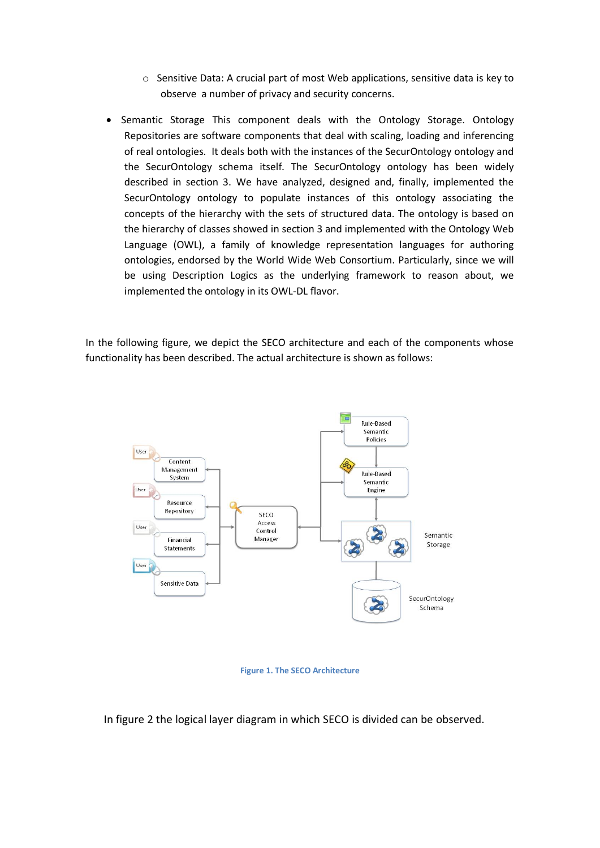- $\circ$  Sensitive Data: A crucial part of most Web applications, sensitive data is key to observe a number of privacy and security concerns.
- Semantic Storage This component deals with the Ontology Storage. Ontology Repositories are software components that deal with scaling, loading and inferencing of real ontologies. It deals both with the instances of the SecurOntology ontology and the SecurOntology schema itself. The SecurOntology ontology has been widely described in section 3. We have analyzed, designed and, finally, implemented the SecurOntology ontology to populate instances of this ontology associating the concepts of the hierarchy with the sets of structured data. The ontology is based on the hierarchy of classes showed in section 3 and implemented with the Ontology Web Language (OWL), a family of knowledge representation languages for authoring ontologies, endorsed by the World Wide Web Consortium. Particularly, since we will be using Description Logics as the underlying framework to reason about, we implemented the ontology in its OWL-DL flavor.

In the following figure, we depict the SECO architecture and each of the components whose functionality has been described. The actual architecture is shown as follows:





In figure 2 the logical layer diagram in which SECO is divided can be observed.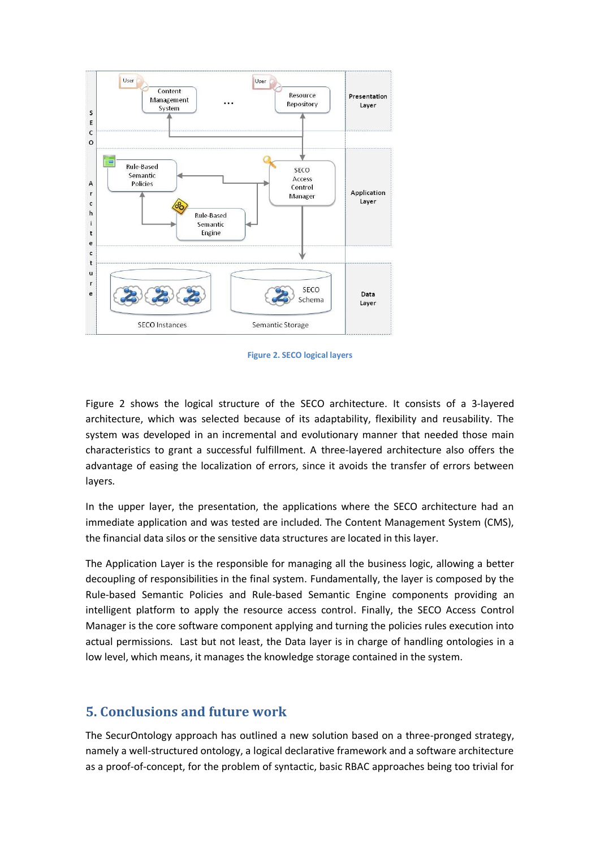

**Figure 2. SECO logical layers**

Figure 2 shows the logical structure of the SECO architecture. It consists of a 3-layered architecture, which was selected because of its adaptability, flexibility and reusability. The system was developed in an incremental and evolutionary manner that needed those main characteristics to grant a successful fulfillment. A three-layered architecture also offers the advantage of easing the localization of errors, since it avoids the transfer of errors between layers.

In the upper layer, the presentation, the applications where the SECO architecture had an immediate application and was tested are included. The Content Management System (CMS), the financial data silos or the sensitive data structures are located in this layer.

The Application Layer is the responsible for managing all the business logic, allowing a better decoupling of responsibilities in the final system. Fundamentally, the layer is composed by the Rule-based Semantic Policies and Rule-based Semantic Engine components providing an intelligent platform to apply the resource access control. Finally, the SECO Access Control Manager is the core software component applying and turning the policies rules execution into actual permissions. Last but not least, the Data layer is in charge of handling ontologies in a low level, which means, it manages the knowledge storage contained in the system.

# **5. Conclusions and future work**

The SecurOntology approach has outlined a new solution based on a three-pronged strategy, namely a well-structured ontology, a logical declarative framework and a software architecture as a proof-of-concept, for the problem of syntactic, basic RBAC approaches being too trivial for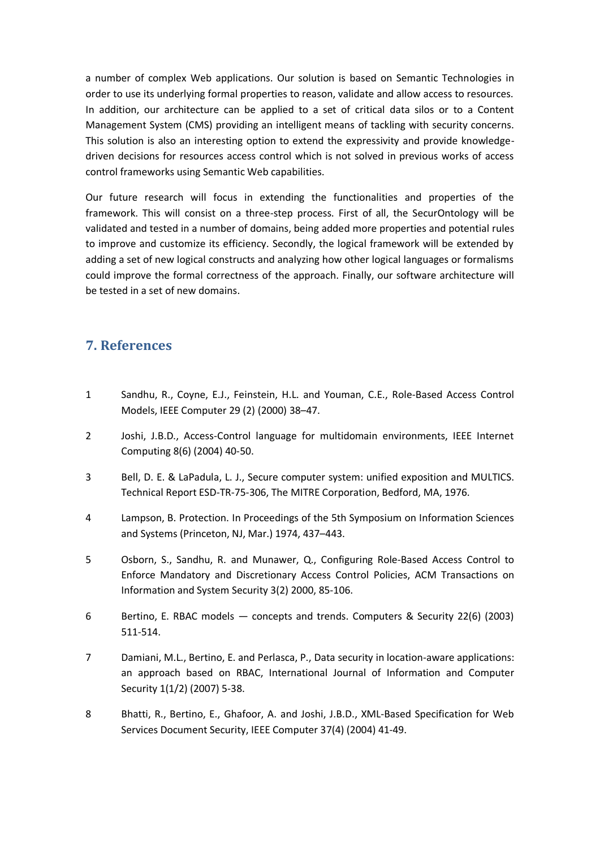a number of complex Web applications. Our solution is based on Semantic Technologies in order to use its underlying formal properties to reason, validate and allow access to resources. In addition, our architecture can be applied to a set of critical data silos or to a Content Management System (CMS) providing an intelligent means of tackling with security concerns. This solution is also an interesting option to extend the expressivity and provide knowledgedriven decisions for resources access control which is not solved in previous works of access control frameworks using Semantic Web capabilities.

Our future research will focus in extending the functionalities and properties of the framework. This will consist on a three-step process. First of all, the SecurOntology will be validated and tested in a number of domains, being added more properties and potential rules to improve and customize its efficiency. Secondly, the logical framework will be extended by adding a set of new logical constructs and analyzing how other logical languages or formalisms could improve the formal correctness of the approach. Finally, our software architecture will be tested in a set of new domains.

# **7. References**

- 1 Sandhu, R., Coyne, E.J., Feinstein, H.L. and Youman, C.E., Role-Based Access Control Models, IEEE Computer 29 (2) (2000) 38–47.
- 2 Joshi, J.B.D., Access-Control language for multidomain environments, IEEE Internet Computing 8(6) (2004) 40-50.
- 3 Bell, D. E. & LaPadula, L. J., Secure computer system: unified exposition and MULTICS. Technical Report ESD-TR-75-306, The MITRE Corporation, Bedford, MA, 1976.
- 4 Lampson, B. Protection. In Proceedings of the 5th Symposium on Information Sciences and Systems (Princeton, NJ, Mar.) 1974, 437–443.
- 5 Osborn, S., Sandhu, R. and Munawer, Q., Configuring Role-Based Access Control to Enforce Mandatory and Discretionary Access Control Policies, ACM Transactions on Information and System Security 3(2) 2000, 85-106.
- 6 Bertino, E. RBAC models concepts and trends. Computers & Security 22(6) (2003) 511-514.
- 7 Damiani, M.L., Bertino, E. and Perlasca, P., Data security in location-aware applications: an approach based on RBAC, International Journal of Information and Computer Security 1(1/2) (2007) 5-38.
- 8 Bhatti, R., Bertino, E., Ghafoor, A. and Joshi, J.B.D., XML-Based Specification for Web Services Document Security, IEEE Computer 37(4) (2004) 41-49.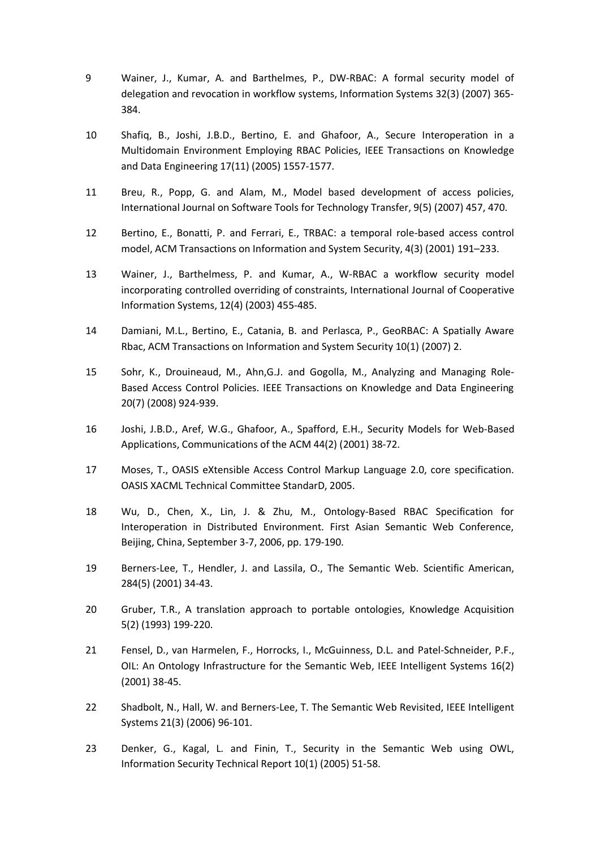- 9 Wainer, J., Kumar, A. and Barthelmes, P., DW-RBAC: A formal security model of delegation and revocation in workflow systems, Information Systems 32(3) (2007) 365- 384.
- 10 Shafiq, B., Joshi, J.B.D., Bertino, E. and Ghafoor, A., Secure Interoperation in a Multidomain Environment Employing RBAC Policies, IEEE Transactions on Knowledge and Data Engineering 17(11) (2005) 1557-1577.
- 11 Breu, R., Popp, G. and Alam, M., Model based development of access policies, International Journal on Software Tools for Technology Transfer, 9(5) (2007) 457, 470.
- 12 Bertino, E., Bonatti, P. and Ferrari, E., TRBAC: a temporal role-based access control model, ACM Transactions on Information and System Security, 4(3) (2001) 191–233.
- 13 Wainer, J., Barthelmess, P. and Kumar, A., W-RBAC a workflow security model incorporating controlled overriding of constraints, International Journal of Cooperative Information Systems, 12(4) (2003) 455-485.
- 14 Damiani, M.L., Bertino, E., Catania, B. and Perlasca, P., GeoRBAC: A Spatially Aware Rbac, ACM Transactions on Information and System Security 10(1) (2007) 2.
- 15 Sohr, K., Drouineaud, M., Ahn,G.J. and Gogolla, M., Analyzing and Managing Role-Based Access Control Policies. IEEE Transactions on Knowledge and Data Engineering 20(7) (2008) 924-939.
- 16 Joshi, J.B.D., Aref, W.G., Ghafoor, A., Spafford, E.H., Security Models for Web-Based Applications, Communications of the ACM 44(2) (2001) 38-72.
- 17 Moses, T., OASIS eXtensible Access Control Markup Language 2.0, core specification. OASIS XACML Technical Committee StandarD, 2005.
- 18 Wu, D., Chen, X., Lin, J. & Zhu, M., Ontology-Based RBAC Specification for Interoperation in Distributed Environment. First Asian Semantic Web Conference, Beijing, China, September 3-7, 2006, pp. 179-190.
- 19 Berners-Lee, T., Hendler, J. and Lassila, O., The Semantic Web. Scientific American, 284(5) (2001) 34-43.
- 20 Gruber, T.R., A translation approach to portable ontologies, Knowledge Acquisition 5(2) (1993) 199-220.
- 21 Fensel, D., van Harmelen, F., Horrocks, I., McGuinness, D.L. and Patel-Schneider, P.F., OIL: An Ontology Infrastructure for the Semantic Web, IEEE Intelligent Systems 16(2) (2001) 38-45.
- 22 Shadbolt, N., Hall, W. and Berners-Lee, T. The Semantic Web Revisited, IEEE Intelligent Systems 21(3) (2006) 96-101.
- 23 Denker, G., Kagal, L. and Finin, T., Security in the Semantic Web using OWL, Information Security Technical Report 10(1) (2005) 51-58.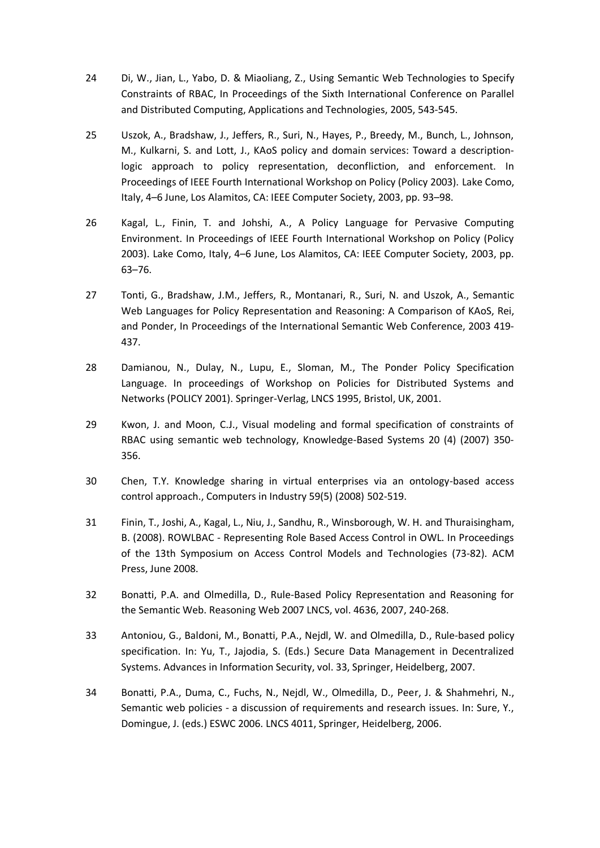- 24 Di, W., Jian, L., Yabo, D. & Miaoliang, Z., Using Semantic Web Technologies to Specify Constraints of RBAC, In Proceedings of the Sixth International Conference on Parallel and Distributed Computing, Applications and Technologies, 2005, 543-545.
- 25 Uszok, A., Bradshaw, J., Jeffers, R., Suri, N., Hayes, P., Breedy, M., Bunch, L., Johnson, M., Kulkarni, S. and Lott, J., KAoS policy and domain services: Toward a descriptionlogic approach to policy representation, deconfliction, and enforcement. In Proceedings of IEEE Fourth International Workshop on Policy (Policy 2003). Lake Como, Italy, 4–6 June, Los Alamitos, CA: IEEE Computer Society, 2003, pp. 93–98.
- 26 Kagal, L., Finin, T. and Johshi, A., A Policy Language for Pervasive Computing Environment. In Proceedings of IEEE Fourth International Workshop on Policy (Policy 2003). Lake Como, Italy, 4–6 June, Los Alamitos, CA: IEEE Computer Society, 2003, pp. 63–76.
- 27 Tonti, G., Bradshaw, J.M., Jeffers, R., Montanari, R., Suri, N. and Uszok, A., Semantic Web Languages for Policy Representation and Reasoning: A Comparison of KAoS, Rei, and Ponder, In Proceedings of the International Semantic Web Conference, 2003 419- 437.
- 28 Damianou, N., Dulay, N., Lupu, E., Sloman, M., The Ponder Policy Specification Language. In proceedings of Workshop on Policies for Distributed Systems and Networks (POLICY 2001). Springer-Verlag, LNCS 1995, Bristol, UK, 2001.
- 29 Kwon, J. and Moon, C.J., Visual modeling and formal specification of constraints of RBAC using semantic web technology, Knowledge-Based Systems 20 (4) (2007) 350- 356.
- 30 Chen, T.Y. Knowledge sharing in virtual enterprises via an ontology-based access control approach., Computers in Industry 59(5) (2008) 502-519.
- 31 Finin, T., Joshi, A., Kagal, L., Niu, J., Sandhu, R., Winsborough, W. H. and Thuraisingham, B. (2008). ROWLBAC - Representing Role Based Access Control in OWL. In Proceedings of the 13th Symposium on Access Control Models and Technologies (73-82). ACM Press, June 2008.
- 32 Bonatti, P.A. and Olmedilla, D., Rule-Based Policy Representation and Reasoning for the Semantic Web. Reasoning Web 2007 LNCS, vol. 4636, 2007, 240-268.
- 33 Antoniou, G., Baldoni, M., Bonatti, P.A., Nejdl, W. and Olmedilla, D., Rule-based policy specification. In: Yu, T., Jajodia, S. (Eds.) Secure Data Management in Decentralized Systems. Advances in Information Security, vol. 33, Springer, Heidelberg, 2007.
- 34 Bonatti, P.A., Duma, C., Fuchs, N., Nejdl, W., Olmedilla, D., Peer, J. & Shahmehri, N., Semantic web policies - a discussion of requirements and research issues. In: Sure, Y., Domingue, J. (eds.) ESWC 2006. LNCS 4011, Springer, Heidelberg, 2006.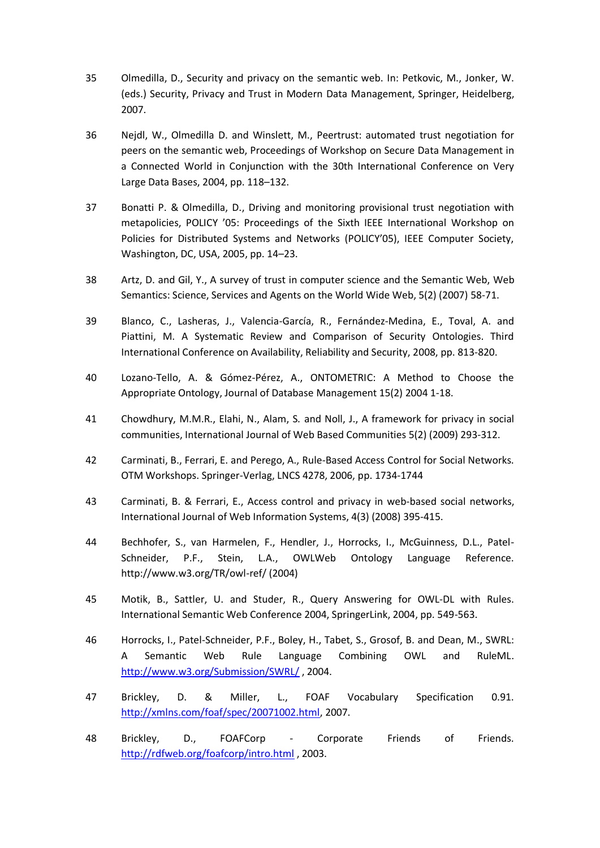- 35 Olmedilla, D., Security and privacy on the semantic web. In: Petkovic, M., Jonker, W. (eds.) Security, Privacy and Trust in Modern Data Management, Springer, Heidelberg, 2007.
- 36 Nejdl, W., Olmedilla D. and Winslett, M., Peertrust: automated trust negotiation for peers on the semantic web, Proceedings of Workshop on Secure Data Management in a Connected World in Conjunction with the 30th International Conference on Very Large Data Bases, 2004, pp. 118–132.
- 37 Bonatti P. & Olmedilla, D., Driving and monitoring provisional trust negotiation with metapolicies, POLICY '05: Proceedings of the Sixth IEEE International Workshop on Policies for Distributed Systems and Networks (POLICY'05), IEEE Computer Society, Washington, DC, USA, 2005, pp. 14–23.
- 38 Artz, D. and Gil, Y., A survey of trust in computer science and the Semantic Web, Web Semantics: Science, Services and Agents on the World Wide Web, 5(2) (2007) 58-71.
- 39 Blanco, C., Lasheras, J., Valencia-García, R., Fernández-Medina, E., Toval, A. and Piattini, M. A Systematic Review and Comparison of Security Ontologies. Third International Conference on Availability, Reliability and Security, 2008, pp. 813-820.
- 40 Lozano-Tello, A. & Gómez-Pérez, A., ONTOMETRIC: A Method to Choose the Appropriate Ontology, Journal of Database Management 15(2) 2004 1-18.
- 41 Chowdhury, M.M.R., Elahi, N., Alam, S. and Noll, J., A framework for privacy in social communities, International Journal of Web Based Communities 5(2) (2009) 293-312.
- 42 Carminati, B., Ferrari, E. and Perego, A., Rule-Based Access Control for Social Networks. OTM Workshops. Springer-Verlag, LNCS 4278, 2006, pp. 1734-1744
- 43 Carminati, B. & Ferrari, E., Access control and privacy in web-based social networks, International Journal of Web Information Systems, 4(3) (2008) 395-415.
- 44 Bechhofer, S., van Harmelen, F., Hendler, J., Horrocks, I., McGuinness, D.L., Patel-Schneider, P.F., Stein, L.A., OWLWeb Ontology Language Reference. http://www.w3.org/TR/owl-ref/ (2004)
- 45 Motik, B., Sattler, U. and Studer, R., Query Answering for OWL-DL with Rules. International Semantic Web Conference 2004, SpringerLink, 2004, pp. 549-563.
- 46 Horrocks, I., Patel-Schneider, P.F., Boley, H., Tabet, S., Grosof, B. and Dean, M., SWRL: A Semantic Web Rule Language Combining OWL and RuleML. <http://www.w3.org/Submission/SWRL/> , 2004.
- 47 Brickley, D. & Miller, L., FOAF Vocabulary Specification 0.91. [http://xmlns.com/foaf/spec/20071002.html,](http://xmlns.com/foaf/spec/20071002.html) 2007.
- 48 Brickley, D., FOAFCorp Corporate Friends of Friends. <http://rdfweb.org/foafcorp/intro.html> , 2003.